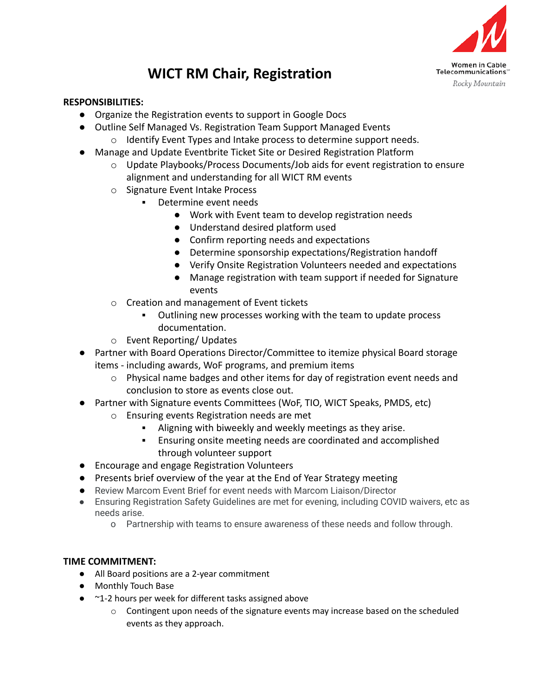

## **WICT RM Chair, Registration**

## **RESPONSIBILITIES:**

- Organize the Registration events to support in Google Docs
- Outline Self Managed Vs. Registration Team Support Managed Events
	- o Identify Event Types and Intake process to determine support needs.
- Manage and Update Eventbrite Ticket Site or Desired Registration Platform
	- o Update Playbooks/Process Documents/Job aids for event registration to ensure alignment and understanding for all WICT RM events
	- o Signature Event Intake Process
		- Determine event needs
			- Work with Event team to develop registration needs
			- Understand desired platform used
			- Confirm reporting needs and expectations
			- Determine sponsorship expectations/Registration handoff
			- Verify Onsite Registration Volunteers needed and expectations
			- Manage registration with team support if needed for Signature events
	- o Creation and management of Event tickets
		- Outlining new processes working with the team to update process documentation.
	- o Event Reporting/ Updates
- Partner with Board Operations Director/Committee to itemize physical Board storage items - including awards, WoF programs, and premium items
	- $\circ$  Physical name badges and other items for day of registration event needs and conclusion to store as events close out.
- Partner with Signature events Committees (WoF, TIO, WICT Speaks, PMDS, etc)
	- o Ensuring events Registration needs are met
		- Aligning with biweekly and weekly meetings as they arise.
		- Ensuring onsite meeting needs are coordinated and accomplished through volunteer support
- Encourage and engage Registration Volunteers
- Presents brief overview of the year at the End of Year Strategy meeting
- Review Marcom Event Brief for event needs with Marcom Liaison/Director
- Ensuring Registration Safety Guidelines are met for evening, including COVID waivers, etc as needs arise.
	- o Partnership with teams to ensure awareness of these needs and follow through.

## **TIME COMMITMENT:**

- All Board positions are a 2-year commitment
- Monthly Touch Base
- ~1-2 hours per week for different tasks assigned above
	- $\circ$  Contingent upon needs of the signature events may increase based on the scheduled events as they approach.